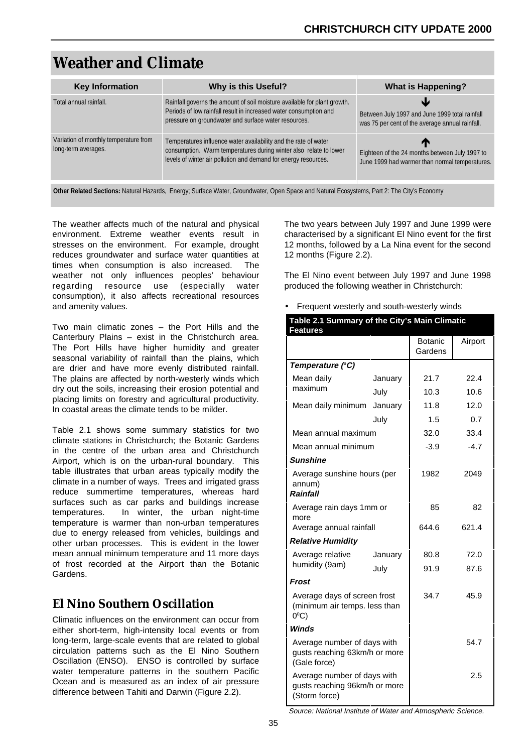# **Weather and Climate**

| <b>Key Information</b>                                       | Why is this Useful?                                                                                                                                                                                     | <b>What is Happening?</b>                                                                         |
|--------------------------------------------------------------|---------------------------------------------------------------------------------------------------------------------------------------------------------------------------------------------------------|---------------------------------------------------------------------------------------------------|
| Total annual rainfall.                                       | Rainfall governs the amount of soil moisture available for plant growth.<br>Periods of low rainfall result in increased water consumption and<br>pressure on groundwater and surface water resources.   | Between July 1997 and June 1999 total rainfall<br>was 75 per cent of the average annual rainfall. |
| Variation of monthly temperature from<br>long-term averages. | Temperatures influence water availability and the rate of water<br>consumption. Warm temperatures during winter also relate to lower<br>levels of winter air pollution and demand for energy resources. | Eighteen of the 24 months between July 1997 to<br>June 1999 had warmer than normal temperatures.  |

**Other Related Sections:** Natural Hazards, Energy; Surface Water, Groundwater, Open Space and Natural Ecosystems, Part 2: The City's Economy

The weather affects much of the natural and physical environment. Extreme weather events result in stresses on the environment. For example, drought reduces groundwater and surface water quantities at times when consumption is also increased. The weather not only influences peoples' behaviour regarding resource use (especially water consumption), it also affects recreational resources and amenity values.

Two main climatic zones – the Port Hills and the Canterbury Plains – exist in the Christchurch area. The Port Hills have higher humidity and greater seasonal variability of rainfall than the plains, which are drier and have more evenly distributed rainfall. The plains are affected by north-westerly winds which dry out the soils, increasing their erosion potential and placing limits on forestry and agricultural productivity. In coastal areas the climate tends to be milder.

Table 2.1 shows some summary statistics for two climate stations in Christchurch; the Botanic Gardens in the centre of the urban area and Christchurch Airport, which is on the urban-rural boundary. This table illustrates that urban areas typically modify the climate in a number of ways. Trees and irrigated grass reduce summertime temperatures, whereas hard surfaces such as car parks and buildings increase temperatures. In winter, the urban night-time temperature is warmer than non-urban temperatures due to energy released from vehicles, buildings and other urban processes. This is evident in the lower mean annual minimum temperature and 11 more days of frost recorded at the Airport than the Botanic Gardens.

# **El Nino Southern Oscillation**

Climatic influences on the environment can occur from either short-term, high-intensity local events or from long-term, large-scale events that are related to global circulation patterns such as the El Nino Southern Oscillation (ENSO). ENSO is controlled by surface water temperature patterns in the southern Pacific Ocean and is measured as an index of air pressure difference between Tahiti and Darwin (Figure 2.2).

The two years between July 1997 and June 1999 were characterised by a significant El Nino event for the first 12 months, followed by a La Nina event for the second 12 months (Figure 2.2).

The El Nino event between July 1997 and June 1998 produced the following weather in Christchurch:

• Frequent westerly and south-westerly winds

| Table 2.1 Summary of the City's Main Climatic<br><b>Features</b>                |         |                    |         |
|---------------------------------------------------------------------------------|---------|--------------------|---------|
|                                                                                 |         | Botanic<br>Gardens | Airport |
| Temperature (°C)                                                                |         |                    |         |
| Mean daily                                                                      | January | 21.7               | 22.4    |
| maximum                                                                         | July    | 10.3               | 10.6    |
| Mean daily minimum                                                              | January | 11.8               | 12.0    |
|                                                                                 | July    | 1.5                | 0.7     |
| Mean annual maximum                                                             |         | 32.0               | 33.4    |
| Mean annual minimum                                                             | $-3.9$  | $-4.7$             |         |
| <b>Sunshine</b>                                                                 |         |                    |         |
| Average sunshine hours (per<br>annum)<br><b>Rainfall</b>                        |         | 1982               | 2049    |
| Average rain days 1mm or<br>more                                                |         | 85                 | 82      |
| Average annual rainfall                                                         | 644.6   | 621.4              |         |
| <b>Relative Humidity</b>                                                        |         |                    |         |
| Average relative                                                                | January | 80.8               | 72.0    |
| humidity (9am)                                                                  | July    | 91.9               | 87.6    |
| Frost                                                                           |         |                    |         |
| Average days of screen frost<br>(minimum air temps. less than<br>$0^{\circ}$ C) |         | 34.7               | 45.9    |
| <b>Winds</b>                                                                    |         |                    |         |
| Average number of days with<br>gusts reaching 63km/h or more<br>(Gale force)    |         |                    | 54.7    |
| Average number of days with<br>gusts reaching 96km/h or more<br>(Storm force)   |         |                    | 2.5     |

Source: National Institute of Water and Atmospheric Science.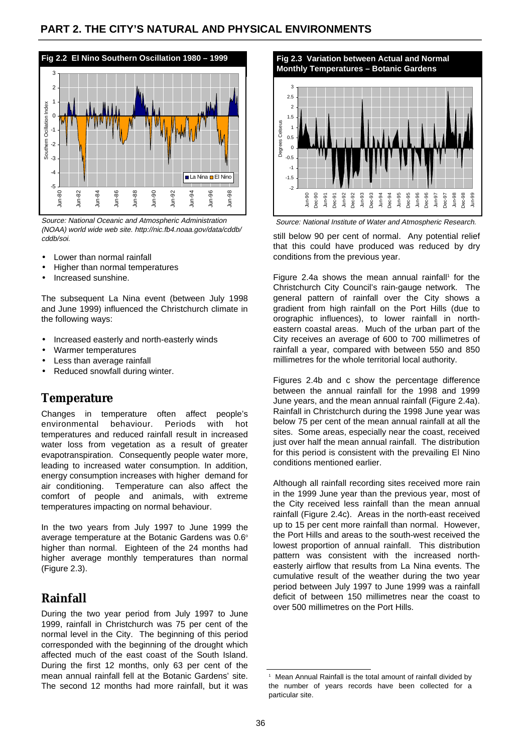

Source: National Oceanic and Atmospheric Administration (NOAA) world wide web site. http://nic.fb4.noaa.gov/data/cddb/ cddb/soi.

- Lower than normal rainfall
- Higher than normal temperatures
- Increased sunshine.

The subsequent La Nina event (between July 1998 and June 1999) influenced the Christchurch climate in the following ways:

- Increased easterly and north-easterly winds
- Warmer temperatures
- Less than average rainfall
- Reduced snowfall during winter.

### **Temperature**

Changes in temperature often affect people's environmental behaviour. Periods with hot temperatures and reduced rainfall result in increased water loss from vegetation as a result of greater evapotranspiration. Consequently people water more, leading to increased water consumption. In addition, energy consumption increases with higher demand for air conditioning. Temperature can also affect the comfort of people and animals, with extreme temperatures impacting on normal behaviour.

In the two years from July 1997 to June 1999 the average temperature at the Botanic Gardens was 0.6° higher than normal. Eighteen of the 24 months had higher average monthly temperatures than normal (Figure 2.3).

# **Rainfall**

During the two year period from July 1997 to June 1999, rainfall in Christchurch was 75 per cent of the normal level in the City. The beginning of this period corresponded with the beginning of the drought which affected much of the east coast of the South Island. During the first 12 months, only 63 per cent of the mean annual rainfall fell at the Botanic Gardens' site. The second 12 months had more rainfall, but it was



Source: National Institute of Water and Atmospheric Research.

still below 90 per cent of normal. Any potential relief that this could have produced was reduced by dry conditions from the previous year.

Figure 2.4a shows the mean annual rainfall<sup>1</sup> for the Christchurch City Council's rain-gauge network. The general pattern of rainfall over the City shows a gradient from high rainfall on the Port Hills (due to orographic influences), to lower rainfall in northeastern coastal areas. Much of the urban part of the City receives an average of 600 to 700 millimetres of rainfall a year, compared with between 550 and 850 millimetres for the whole territorial local authority.

Figures 2.4b and c show the percentage difference between the annual rainfall for the 1998 and 1999 June years, and the mean annual rainfall (Figure 2.4a). Rainfall in Christchurch during the 1998 June year was below 75 per cent of the mean annual rainfall at all the sites. Some areas, especially near the coast, received just over half the mean annual rainfall. The distribution for this period is consistent with the prevailing El Nino conditions mentioned earlier.

Although all rainfall recording sites received more rain in the 1999 June year than the previous year, most of the City received less rainfall than the mean annual rainfall (Figure 2.4c). Areas in the north-east received up to 15 per cent more rainfall than normal. However, the Port Hills and areas to the south-west received the lowest proportion of annual rainfall. This distribution pattern was consistent with the increased northeasterly airflow that results from La Nina events. The cumulative result of the weather during the two year period between July 1997 to June 1999 was a rainfall deficit of between 150 millimetres near the coast to over 500 millimetres on the Port Hills.

<sup>1</sup> Mean Annual Rainfall is the total amount of rainfall divided by the number of years records have been collected for a particular site.